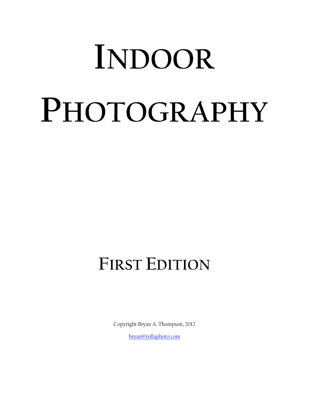# **INDOOR PHOTOGRAPHY**

# **FIRST EDITION**

Copyright Bryan A. Thompson, 2012

[bryan@rollaphoto.com](mailto:bryan@roadslessphotographed.com)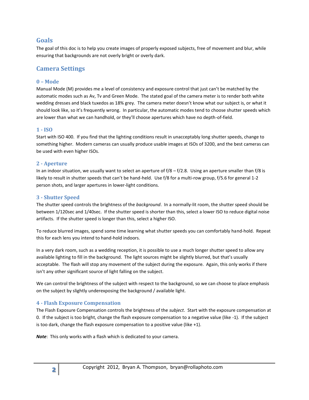## **Goals**

The goal of this doc is to help you create images of properly exposed subjects, free of movement and blur, while ensuring that backgrounds are not overly bright or overly dark.

# **Camera Settings**

### **0 – Mode**

Manual Mode (M) provides me a level of consistency and exposure control that just can't be matched by the automatic modes such as Av, Tv and Green Mode. The stated goal of the camera meter is to render both white wedding dresses and black tuxedos as 18% grey. The camera meter doesn't know what our subject is, or what it should look like, so it's frequently wrong. In particular, the automatic modes tend to choose shutter speeds which are lower than what we can handhold, or they'll choose apertures which have no depth-of-field.

### **1 - ISO**

Start with ISO 400. If you find that the lighting conditions result in unacceptably long shutter speeds, change to something higher. Modern cameras can usually produce usable images at ISOs of 3200, and the best cameras can be used with even higher ISOs.

### **2 - Aperture**

In an indoor situation, we usually want to select an aperture of  $f/8 - f/2.8$ . Using an aperture smaller than  $f/8$  is likely to result in shutter speeds that can't be hand-held. Use f/8 for a multi-row group, f/5.6 for general 1-2 person shots, and larger apertures in lower-light conditions.

### **3 - Shutter Speed**

The shutter speed controls the brightness of the *background*. In a normally-lit room, the shutter speed should be between 1/120sec and 1/40sec. If the shutter speed is shorter than this, select a lower ISO to reduce digital noise artifacts. If the shutter speed is longer than this, select a higher ISO.

To reduce blurred images, spend some time learning what shutter speeds you can comfortably hand-hold. Repeat this for each lens you intend to hand-hold indoors.

In a very dark room, such as a wedding reception, it is possible to use a much longer shutter speed to allow any available lighting to fill in the background. The light sources might be slightly blurred, but that's usually acceptable. The flash will stop any movement of the subject during the exposure. Again, this only works if there isn't any other significant source of light falling on the subject.

We can control the brightness of the subject with respect to the background, so we can choose to place emphasis on the subject by slightly underexposing the background / available light.

### **4 - Flash Exposure Compensation**

The Flash Exposure Compensation controls the brightness of the *subject*. Start with the exposure compensation at 0. If the subject is too bright, change the flash exposure compensation to a negative value (like -1). If the subject is too dark, change the flash exposure compensation to a positive value (like +1).

*Note*: This only works with a flash which is dedicated to your camera.